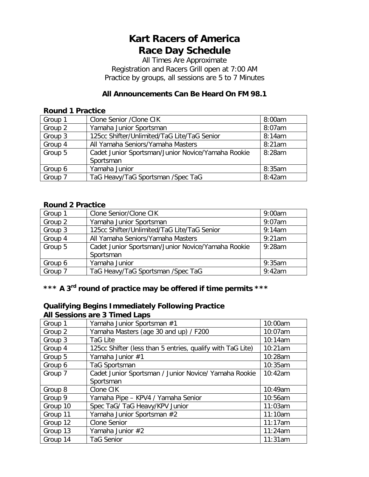# **Kart Racers of America Race Day Schedule**

All Times Are Approximate Registration and Racers Grill open at 7:00 AM Practice by groups, all sessions are 5 to 7 Minutes

### **All Announcements Can Be Heard On FM 98.1**

#### **Round 1 Practice**

| Group 1 | Clone Senior / Clone CIK                           | 8:00am |
|---------|----------------------------------------------------|--------|
| Group 2 | Yamaha Junior Sportsman                            | 8:07am |
| Group 3 | 125cc Shifter/Unlimited/TaG Lite/TaG Senior        | 8:14am |
| Group 4 | All Yamaha Seniors/Yamaha Masters                  | 8:21am |
| Group 5 | Cadet Junior Sportsman/Junior Novice/Yamaha Rookie | 8:28am |
|         | Sportsman                                          |        |
| Group 6 | Yamaha Junior                                      | 8:35am |
| Group 7 | TaG Heavy/TaG Sportsman /Spec TaG                  | 8:42am |

#### **Round 2 Practice**

| Group 1 | Clone Senior/Clone CIK                             | 9:00am    |
|---------|----------------------------------------------------|-----------|
| Group 2 | Yamaha Junior Sportsman                            | $9:07$ am |
| Group 3 | 125cc Shifter/Unlimited/TaG Lite/TaG Senior        | 9:14am    |
| Group 4 | All Yamaha Seniors/Yamaha Masters                  | 9:21am    |
| Group 5 | Cadet Junior Sportsman/Junior Novice/Yamaha Rookie | $9:28$ am |
|         | Sportsman                                          |           |
| Group 6 | Yamaha Junior                                      | 9:35am    |
| Group 7 | TaG Heavy/TaG Sportsman /Spec TaG                  | $9:42$ am |

# **\*\*\* A 3rd round of practice may be offered if time permits \*\*\***

### **Qualifying Begins Immediately Following Practice All Sessions are 3 Timed Laps**

| Group 1  | Yamaha Junior Sportsman #1                                 | 10:00am |
|----------|------------------------------------------------------------|---------|
| Group 2  | Yamaha Masters (age 30 and up) / F200                      | 10:07am |
| Group 3  | TaG Lite                                                   | 10:14am |
| Group 4  | 125cc Shifter (less than 5 entries, qualify with TaG Lite) | 10:21am |
| Group 5  | Yamaha Junior #1                                           | 10:28am |
| Group 6  | TaG Sportsman                                              | 10:35am |
| Group 7  | Cadet Junior Sportsman / Junior Novice/ Yamaha Rookie      | 10:42am |
|          | Sportsman                                                  |         |
| Group 8  | Clone CIK                                                  | 10:49am |
| Group 9  | Yamaha Pipe - KPV4 / Yamaha Senior                         | 10:56am |
| Group 10 | Spec TaG/ TaG Heavy/KPV Junior                             | 11:03am |
| Group 11 | Yamaha Junior Sportsman #2                                 | 11:10am |
| Group 12 | <b>Clone Senior</b>                                        | 11:17am |
| Group 13 | Yamaha Junior #2                                           | 11:24am |
| Group 14 | <b>TaG Senior</b>                                          | 11:31am |